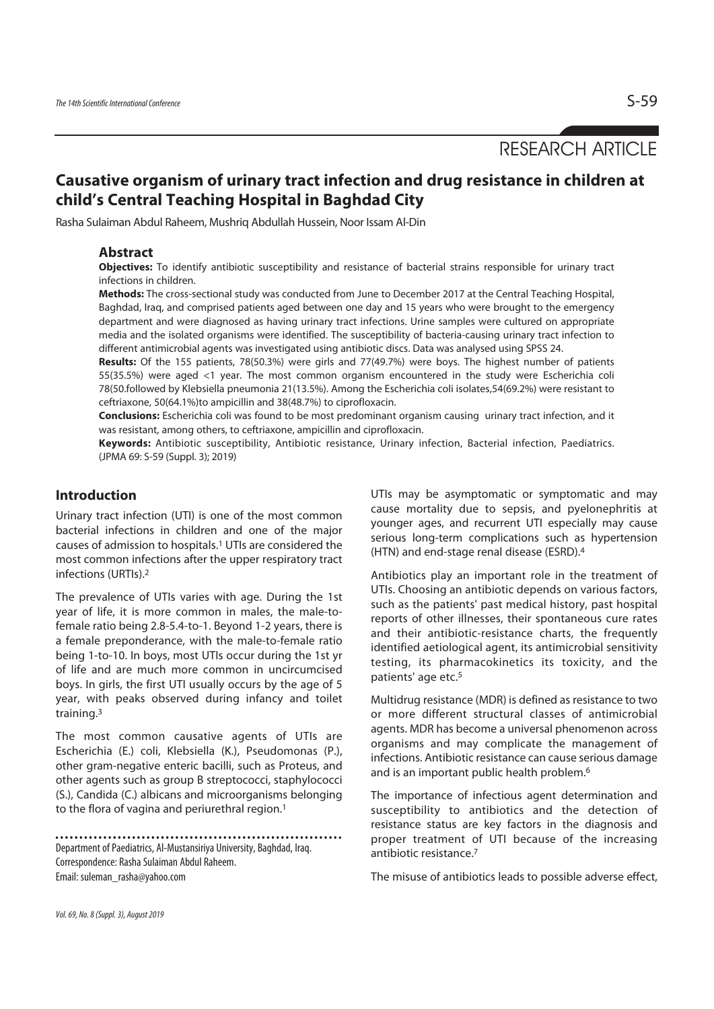RESEARCH ARTICLE

# **Causative organism of urinary tract infection and drug resistance in children at child's Central Teaching Hospital in Baghdad City**

Rasha Sulaiman Abdul Raheem, Mushriq Abdullah Hussein, Noor Issam Al-Din

### **Abstract**

**Objectives:** To identify antibiotic susceptibility and resistance of bacterial strains responsible for urinary tract infections in children.

**Methods:** The cross-sectional study was conducted from June to December 2017 at the Central Teaching Hospital, Baghdad, Iraq, and comprised patients aged between one day and 15 years who were brought to the emergency department and were diagnosed as having urinary tract infections. Urine samples were cultured on appropriate media and the isolated organisms were identified. The susceptibility of bacteria-causing urinary tract infection to different antimicrobial agents was investigated using antibiotic discs. Data was analysed using SPSS 24.

**Results:** Of the 155 patients, 78(50.3%) were girls and 77(49.7%) were boys. The highest number of patients 55(35.5%) were aged <1 year. The most common organism encountered in the study were Escherichia coli 78(50.followed by Klebsiella pneumonia 21(13.5%). Among the Escherichia coli isolates,54(69.2%) were resistant to ceftriaxone, 50(64.1%)to ampicillin and 38(48.7%) to ciprofloxacin.

**Conclusions:** Escherichia coli was found to be most predominant organism causing urinary tract infection, and it was resistant, among others, to ceftriaxone, ampicillin and ciprofloxacin.

**Keywords:** Antibiotic susceptibility, Antibiotic resistance, Urinary infection, Bacterial infection, Paediatrics. (JPMA 69: S-59 (Suppl. 3); 2019)

# **Introduction**

Urinary tract infection (UTI) is one of the most common bacterial infections in children and one of the major causes of admission to hospitals.1 UTIs are considered the most common infections after the upper respiratory tract infections (URTIs).2

The prevalence of UTIs varies with age. During the 1st year of life, it is more common in males, the male-tofemale ratio being 2.8-5.4-to-1. Beyond 1-2 years, there is a female preponderance, with the male-to-female ratio being 1-to-10. In boys, most UTIs occur during the 1st yr of life and are much more common in uncircumcised boys. In girls, the first UTI usually occurs by the age of 5 year, with peaks observed during infancy and toilet training.3

The most common causative agents of UTIs are Escherichia (E.) coli, Klebsiella (K.), Pseudomonas (P.), other gram-negative enteric bacilli, such as Proteus, and other agents such as group B streptococci, staphylococci (S.), Candida (C.) albicans and microorganisms belonging to the flora of vagina and periurethral region.1

Department of Paediatrics, Al-Mustansiriya University, Baghdad, Iraq. Correspondence: Rasha Sulaiman Abdul Raheem. Email: suleman\_rasha@yahoo.com

UTIs may be asymptomatic or symptomatic and may cause mortality due to sepsis, and pyelonephritis at younger ages, and recurrent UTI especially may cause serious long-term complications such as hypertension (HTN) and end-stage renal disease (ESRD).4

Antibiotics play an important role in the treatment of UTIs. Choosing an antibiotic depends on various factors, such as the patients' past medical history, past hospital reports of other illnesses, their spontaneous cure rates and their antibiotic-resistance charts, the frequently identified aetiological agent, its antimicrobial sensitivity testing, its pharmacokinetics its toxicity, and the patients' age etc.5

Multidrug resistance (MDR) is defined as resistance to two or more different structural classes of antimicrobial agents. MDR has become a universal phenomenon across organisms and may complicate the management of infections. Antibiotic resistance can cause serious damage and is an important public health problem.6

The importance of infectious agent determination and susceptibility to antibiotics and the detection of resistance status are key factors in the diagnosis and proper treatment of UTI because of the increasing antibiotic resistance.7

The misuse of antibiotics leads to possible adverse effect,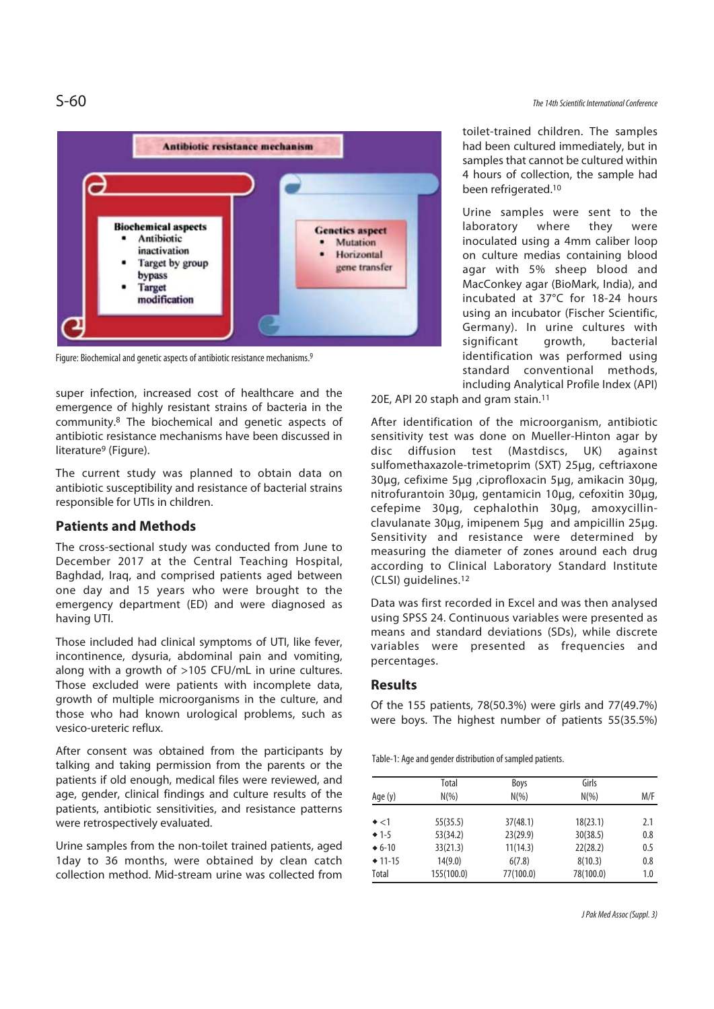

Figure: Biochemical and genetic aspects of antibiotic resistance mechanisms.9

super infection, increased cost of healthcare and the emergence of highly resistant strains of bacteria in the community.8 The biochemical and genetic aspects of antibiotic resistance mechanisms have been discussed in literature9 (Figure).

The current study was planned to obtain data on antibiotic susceptibility and resistance of bacterial strains responsible for UTIs in children.

# **Patients and Methods**

The cross-sectional study was conducted from June to December 2017 at the Central Teaching Hospital, Baghdad, Iraq, and comprised patients aged between one day and 15 years who were brought to the emergency department (ED) and were diagnosed as having UTI.

Those included had clinical symptoms of UTI, like fever, incontinence, dysuria, abdominal pain and vomiting, along with a growth of >105 CFU/mL in urine cultures. Those excluded were patients with incomplete data, growth of multiple microorganisms in the culture, and those who had known urological problems, such as vesico-ureteric reflux.

After consent was obtained from the participants by talking and taking permission from the parents or the patients if old enough, medical files were reviewed, and age, gender, clinical findings and culture results of the patients, antibiotic sensitivities, and resistance patterns were retrospectively evaluated.

Urine samples from the non-toilet trained patients, aged 1day to 36 months, were obtained by clean catch collection method. Mid-stream urine was collected from

toilet-trained children. The samples had been cultured immediately, but in samples that cannot be cultured within 4 hours of collection, the sample had been refrigerated.10

Urine samples were sent to the laboratory where they were inoculated using a 4mm caliber loop on culture medias containing blood agar with 5% sheep blood and MacConkey agar (BioMark, India), and incubated at 37°C for 18-24 hours using an incubator (Fischer Scientific, Germany). In urine cultures with significant growth, bacterial identification was performed using standard conventional methods, including Analytical Profile Index (API)

20E, API 20 staph and gram stain.11

After identification of the microorganism, antibiotic sensitivity test was done on Mueller-Hinton agar by disc diffusion test (Mastdiscs, UK) against sulfomethaxazole-trimetoprim (SXT) 25μg, ceftriaxone 30μg, cefixime 5μg ,ciprofloxacin 5μg, amikacin 30μg, nitrofurantoin 30μg, gentamicin 10μg, cefoxitin 30μg, cefepime 30μg, cephalothin 30μg, amoxycillinclavulanate 30μg, imipenem 5μg and ampicillin 25μg. Sensitivity and resistance were determined by measuring the diameter of zones around each drug according to Clinical Laboratory Standard Institute (CLSI) guidelines.12

Data was first recorded in Excel and was then analysed using SPSS 24. Continuous variables were presented as means and standard deviations (SDs), while discrete variables were presented as frequencies and percentages.

### **Results**

Of the 155 patients, 78(50.3%) were girls and 77(49.7%) were boys. The highest number of patients 55(35.5%)

Table-1: Age and gender distribution of sampled patients.

| Age (y)       | Total<br>$N(\% )$ | Boys<br>$N(\% )$ | Girls<br>$N(\% )$ | M/F |  |
|---------------|-------------------|------------------|-------------------|-----|--|
| $\bullet$ <1  | 55(35.5)          | 37(48.1)         | 18(23.1)          | 2.1 |  |
| $+1-5$        | 53(34.2)          | 23(29.9)         | 30(38.5)          | 0.8 |  |
| $\div 6 - 10$ | 33(21.3)          | 11(14.3)         | 22(28.2)          | 0.5 |  |
| $\div$ 11-15  | 14(9.0)           | 6(7.8)           | 8(10.3)           | 0.8 |  |
| Total         | 155(100.0)        | 77(100.0)        | 78(100.0)         | 1.0 |  |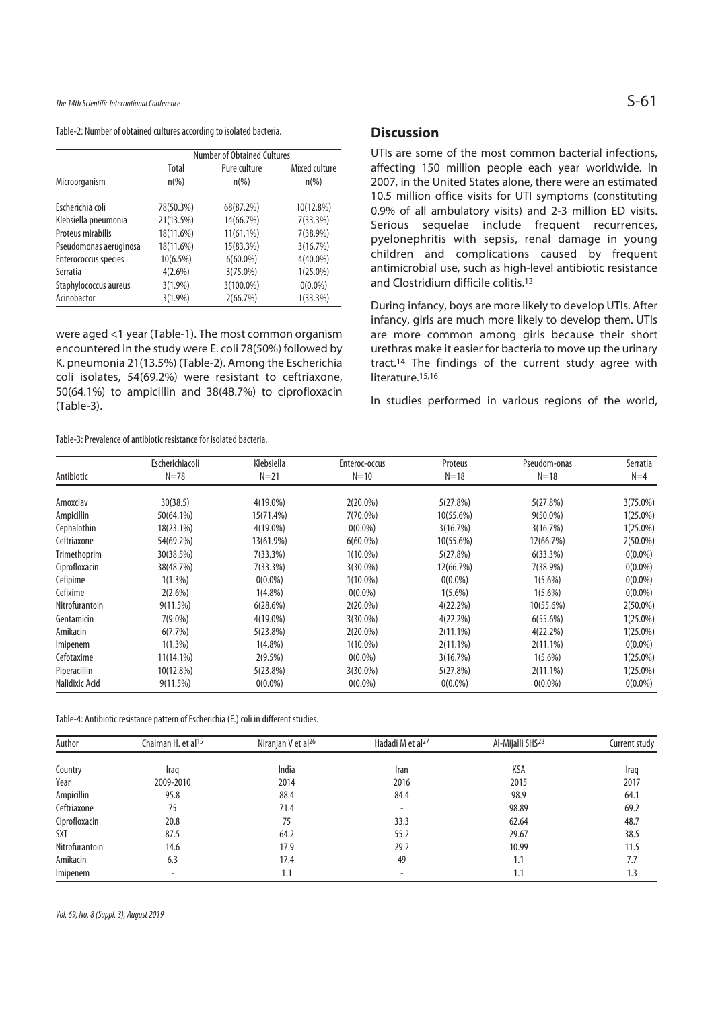The 14th Scientific International Conference  $S$ –61

Table-2: Number of obtained cultures according to isolated bacteria.

|                        | Number of Obtained Cultures |                         |                          |  |  |
|------------------------|-----------------------------|-------------------------|--------------------------|--|--|
| Microorganism          | Total<br>$n\frac{9}{6}$     | Pure culture<br>$n(\%)$ | Mixed culture<br>$n(\%)$ |  |  |
|                        |                             |                         |                          |  |  |
| Escherichia coli       | 78(50.3%)                   | 68(87.2%)               | 10(12.8%)                |  |  |
| Klebsiella pneumonia   | 21(13.5%)                   | 14(66.7%)               | 7(33.3%)                 |  |  |
| Proteus mirabilis      | 18(11.6%)                   | 11(61.1%)               | 7(38.9%)                 |  |  |
| Pseudomonas aeruginosa | 18(11.6%)                   | 15(83.3%)               | 3(16.7%)                 |  |  |
| Enterococcus species   | $10(6.5\%)$                 | $6(60.0\%)$             | $4(40.0\%)$              |  |  |
| Serratia               | $4(2.6\%)$                  | $3(75.0\%)$             | $1(25.0\%)$              |  |  |
| Staphylococcus aureus  | $3(1.9\%)$                  | 3(100.0%)               | $0(0.0\%)$               |  |  |
| Acinobactor            | $3(1.9\%)$                  | 2(66.7%)                | $1(33.3\%)$              |  |  |

were aged <1 year (Table-1). The most common organism encountered in the study were E. coli 78(50%) followed by K. pneumonia 21(13.5%) (Table-2). Among the Escherichia coli isolates, 54(69.2%) were resistant to ceftriaxone, 50(64.1%) to ampicillin and 38(48.7%) to ciprofloxacin (Table-3).

# **Discussion**

UTIs are some of the most common bacterial infections, affecting 150 million people each year worldwide. In 2007, in the United States alone, there were an estimated 10.5 million office visits for UTI symptoms (constituting 0.9% of all ambulatory visits) and 2-3 million ED visits. Serious sequelae include frequent recurrences, pyelonephritis with sepsis, renal damage in young children and complications caused by frequent antimicrobial use, such as high-level antibiotic resistance and Clostridium difficile colitis.13

During infancy, boys are more likely to develop UTIs. After infancy, girls are much more likely to develop them. UTIs are more common among girls because their short urethras make it easier for bacteria to move up the urinary tract.14 The findings of the current study agree with literature.<sup>15,16</sup>

In studies performed in various regions of the world,

Table-3: Prevalence of antibiotic resistance for isolated bacteria.

|                | Escherichiacoli | Klebsiella  | Enteroc-occus | Proteus     | Pseudom-onas | Serratia    |
|----------------|-----------------|-------------|---------------|-------------|--------------|-------------|
| Antibiotic     | $N = 78$        | $N=21$      | $N=10$        | $N=18$      | $N=18$       | $N=4$       |
| Amoxclav       | 30(38.5)        | $4(19.0\%)$ | $2(20.0\%)$   | 5(27.8%)    | 5(27.8%)     | $3(75.0\%)$ |
| Ampicillin     | 50(64.1%)       | 15(71.4%)   | 7(70.0%)      | 10(55.6%)   | $9(50.0\%)$  | $1(25.0\%)$ |
| Cephalothin    | 18(23.1%)       | $4(19.0\%)$ | $0(0.0\%)$    | 3(16.7%)    | 3(16.7%)     | $1(25.0\%)$ |
| Ceftriaxone    | 54(69.2%)       | 13(61.9%)   | $6(60.0\%)$   | 10(55.6%)   | 12(66.7%)    | $2(50.0\%)$ |
| Trimethoprim   | 30(38.5%)       | 7(33.3%)    | 1(10.0%)      | 5(27.8%)    | 6(33.3%)     | $0(0.0\%)$  |
| Ciprofloxacin  | 38(48.7%)       | 7(33.3%)    | $3(30.0\%)$   | 12(66.7%)   | 7(38.9%)     | $0(0.0\%)$  |
| Cefipime       | $1(1.3\%)$      | $0(0.0\%)$  | 1(10.0%)      | $0(0.0\%)$  | $1(5.6\%)$   | $0(0.0\%)$  |
| Cefixime       | $2(2.6\%)$      | $1(4.8\%)$  | $0(0.0\%)$    | $1(5.6\%)$  | $1(5.6\%)$   | $0(0.0\%)$  |
| Nitrofurantoin | 9(11.5%)        | 6(28.6%)    | $2(20.0\%)$   | 4(22.2%)    | 10(55.6%)    | $2(50.0\%)$ |
| Gentamicin     | $7(9.0\%)$      | $4(19.0\%)$ | $3(30.0\%)$   | 4(22.2%)    | 6(55.6%)     | $1(25.0\%)$ |
| Amikacin       | 6(7.7%)         | 5(23.8%)    | $2(20.0\%)$   | $2(11.1\%)$ | 4(22.2%)     | $1(25.0\%)$ |
| Imipenem       | $1(1.3\%)$      | $1(4.8\%)$  | 1(10.0%)      | $2(11.1\%)$ | $2(11.1\%)$  | $0(0.0\%)$  |
| Cefotaxime     | 11(14.1%)       | $2(9.5\%)$  | $0(0.0\%)$    | 3(16.7%)    | $1(5.6\%)$   | $1(25.0\%)$ |
| Piperacillin   | 10(12.8%)       | 5(23.8%)    | 3(30.0%)      | 5(27.8%)    | $2(11.1\%)$  | $1(25.0\%)$ |
| Nalidixic Acid | 9(11.5%)        | $0(0.0\%)$  | $0(0.0\%)$    | $0(0.0\%)$  | $0(0.0\%)$   | $0(0.0\%)$  |

Table-4: Antibiotic resistance pattern of Escherichia (E.) coli in different studies.

| Author         | Chaiman H. et al <sup>15</sup> | Niranian V et al <sup>26</sup> | Hadadi M et al <sup>27</sup> | Al-Mijalli SHS <sup>28</sup> | Current study |
|----------------|--------------------------------|--------------------------------|------------------------------|------------------------------|---------------|
|                |                                |                                |                              |                              |               |
| Country        | Iraq                           | India                          | Iran                         | <b>KSA</b>                   | Iraq          |
| Year           | 2009-2010                      | 2014                           | 2016                         | 2015                         | 2017          |
| Ampicillin     | 95.8                           | 88.4                           | 84.4                         | 98.9                         | 64.1          |
| Ceftriaxone    | 75                             | 71.4                           |                              | 98.89                        | 69.2          |
| Ciprofloxacin  | 20.8                           | 75                             | 33.3                         | 62.64                        | 48.7          |
| <b>SXT</b>     | 87.5                           | 64.2                           | 55.2                         | 29.67                        | 38.5          |
| Nitrofurantoin | 14.6                           | 17.9                           | 29.2                         | 10.99                        | 11.5          |
| Amikacin       | 6.3                            | 17.4                           | 49                           | 1.1                          | 7.7           |
| Imipenem       | ٠                              | 1.1                            |                              | 1.1                          | 1.3           |

Vol. 69, No. 8 (Suppl. 3), August 2019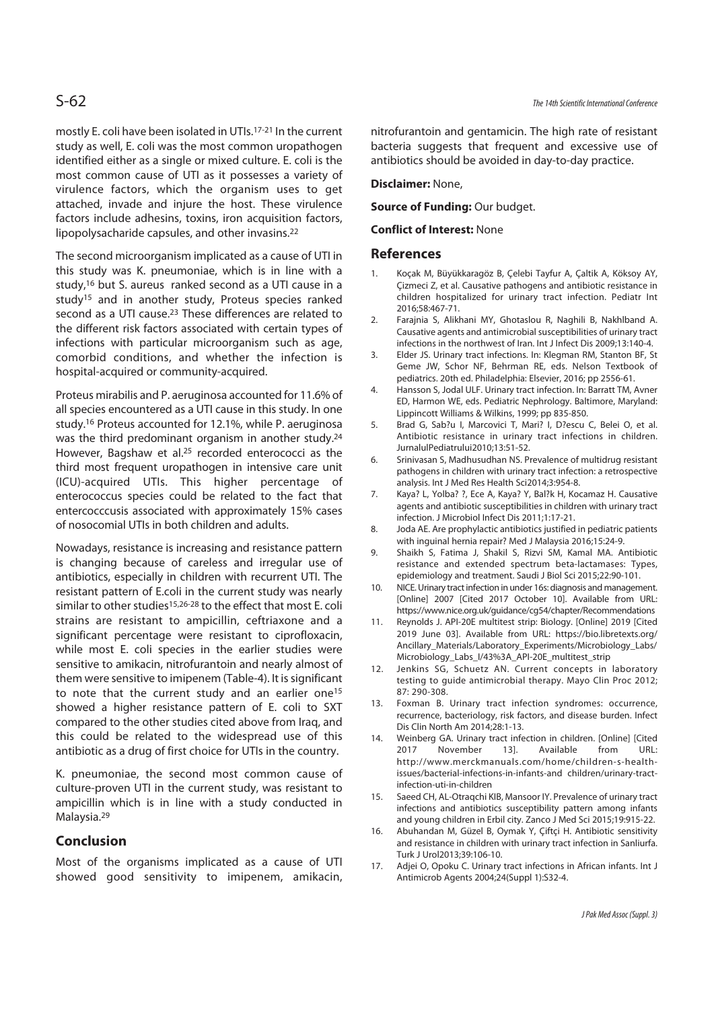mostly E. coli have been isolated in UTIs.17-21 In the current study as well, E. coli was the most common uropathogen identified either as a single or mixed culture. E. coli is the most common cause of UTI as it possesses a variety of virulence factors, which the organism uses to get attached, invade and injure the host. These virulence factors include adhesins, toxins, iron acquisition factors, lipopolysacharide capsules, and other invasins.22

The second microorganism implicated as a cause of UTI in this study was K. pneumoniae, which is in line with a study,16 but S. aureus ranked second as a UTI cause in a study15 and in another study, Proteus species ranked second as a UTI cause.23 These differences are related to the different risk factors associated with certain types of infections with particular microorganism such as age, comorbid conditions, and whether the infection is hospital-acquired or community-acquired.

Proteus mirabilis and P. aeruginosa accounted for 11.6% of all species encountered as a UTI cause in this study. In one study.16 Proteus accounted for 12.1%, while P. aeruginosa was the third predominant organism in another study.<sup>24</sup> However, Bagshaw et al.25 recorded enterococci as the third most frequent uropathogen in intensive care unit (ICU)-acquired UTIs. This higher percentage of enterococcus species could be related to the fact that entercocccusis associated with approximately 15% cases of nosocomial UTIs in both children and adults.

Nowadays, resistance is increasing and resistance pattern is changing because of careless and irregular use of antibiotics, especially in children with recurrent UTI. The resistant pattern of E.coli in the current study was nearly similar to other studies<sup>15,26-28</sup> to the effect that most E. coli strains are resistant to ampicillin, ceftriaxone and a significant percentage were resistant to ciprofloxacin, while most E. coli species in the earlier studies were sensitive to amikacin, nitrofurantoin and nearly almost of them were sensitive to imipenem (Table-4). It is significant to note that the current study and an earlier one<sup>15</sup> showed a higher resistance pattern of E. coli to SXT compared to the other studies cited above from Iraq, and this could be related to the widespread use of this antibiotic as a drug of first choice for UTIs in the country.

K. pneumoniae, the second most common cause of culture-proven UTI in the current study, was resistant to ampicillin which is in line with a study conducted in Malaysia.29

# **Conclusion**

Most of the organisms implicated as a cause of UTI showed good sensitivity to imipenem, amikacin, nitrofurantoin and gentamicin. The high rate of resistant bacteria suggests that frequent and excessive use of antibiotics should be avoided in day-to-day practice.

### **Disclaimer:** None,

**Source of Funding: Our budget.** 

### **Conflict of Interest:** None

### **References**

- 1. Koçak M, Büyükkaragöz B, Çelebi Tayfur A, Çaltik A, Köksoy AY, Çizmeci Z, et al. Causative pathogens and antibiotic resistance in children hospitalized for urinary tract infection. Pediatr Int 2016;58:467-71.
- 2. Farajnia S, Alikhani MY, Ghotaslou R, Naghili B, Nakhlband A. Causative agents and antimicrobial susceptibilities of urinary tract infections in the northwest of Iran. Int J Infect Dis 2009;13:140-4.
- 3. Elder JS. Urinary tract infections. In: Klegman RM, Stanton BF, St Geme JW, Schor NF, Behrman RE, eds. Nelson Textbook of pediatrics. 20th ed. Philadelphia: Elsevier, 2016; pp 2556-61.
- 4. Hansson S, Jodal ULF. Urinary tract infection. In: Barratt TM, Avner ED, Harmon WE, eds. Pediatric Nephrology. Baltimore, Maryland: Lippincott Williams & Wilkins, 1999; pp 835-850.
- 5. Brad G, Sab?u I, Marcovici T, Mari? I, D?escu C, Belei O, et al. Antibiotic resistance in urinary tract infections in children. JurnalulPediatrului2010;13:51-52.
- 6. Srinivasan S, Madhusudhan NS. Prevalence of multidrug resistant pathogens in children with urinary tract infection: a retrospective analysis. Int J Med Res Health Sci2014;3:954-8.
- 7. Kaya? L, Yolba? ?, Ece A, Kaya? Y, Bal?k H, Kocamaz H. Causative agents and antibiotic susceptibilities in children with urinary tract infection. J Microbiol Infect Dis 2011;1:17-21.
- 8. Joda AE. Are prophylactic antibiotics justified in pediatric patients with inguinal hernia repair? Med J Malaysia 2016;15:24-9.
- 9. Shaikh S, Fatima J, Shakil S, Rizvi SM, Kamal MA. Antibiotic resistance and extended spectrum beta-lactamases: Types, epidemiology and treatment. Saudi J Biol Sci 2015;22:90-101.
- 10. NICE. Urinary tract infection in under 16s: diagnosis and management. [Online] 2007 [Cited 2017 October 10]. Available from URL: https://www.nice.org.uk/guidance/cg54/chapter/Recommendations
- 11. Reynolds J. API-20E multitest strip: Biology. [Online] 2019 [Cited 2019 June 03]. Available from URL: https://bio.libretexts.org/ Ancillary\_Materials/Laboratory\_Experiments/Microbiology\_Labs/ Microbiology\_Labs\_I/43%3A\_API-20E\_multitest\_strip
- 12. Jenkins SG, Schuetz AN. Current concepts in laboratory testing to guide antimicrobial therapy. Mayo Clin Proc 2012; 87: 290-308.
- 13. Foxman B. Urinary tract infection syndromes: occurrence, recurrence, bacteriology, risk factors, and disease burden. Infect Dis Clin North Am 2014;28:1-13.
- 14. Weinberg GA. Urinary tract infection in children. [Online] [Cited 2017 November 13]. Available from URL: http://www.merckmanuals.com/home/children-s-healthissues/bacterial-infections-in-infants-and children/urinary-tractinfection-uti-in-children
- 15. Saeed CH, AL-Otraqchi KIB, Mansoor IY. Prevalence of urinary tract infections and antibiotics susceptibility pattern among infants and young children in Erbil city. Zanco J Med Sci 2015;19:915-22.
- 16. Abuhandan M, Güzel B, Oymak Y, Çiftçi H. Antibiotic sensitivity and resistance in children with urinary tract infection in Sanliurfa. Turk J Urol2013;39:106-10.
- 17. Adjei O, Opoku C. Urinary tract infections in African infants. Int J Antimicrob Agents 2004;24(Suppl 1):S32-4.